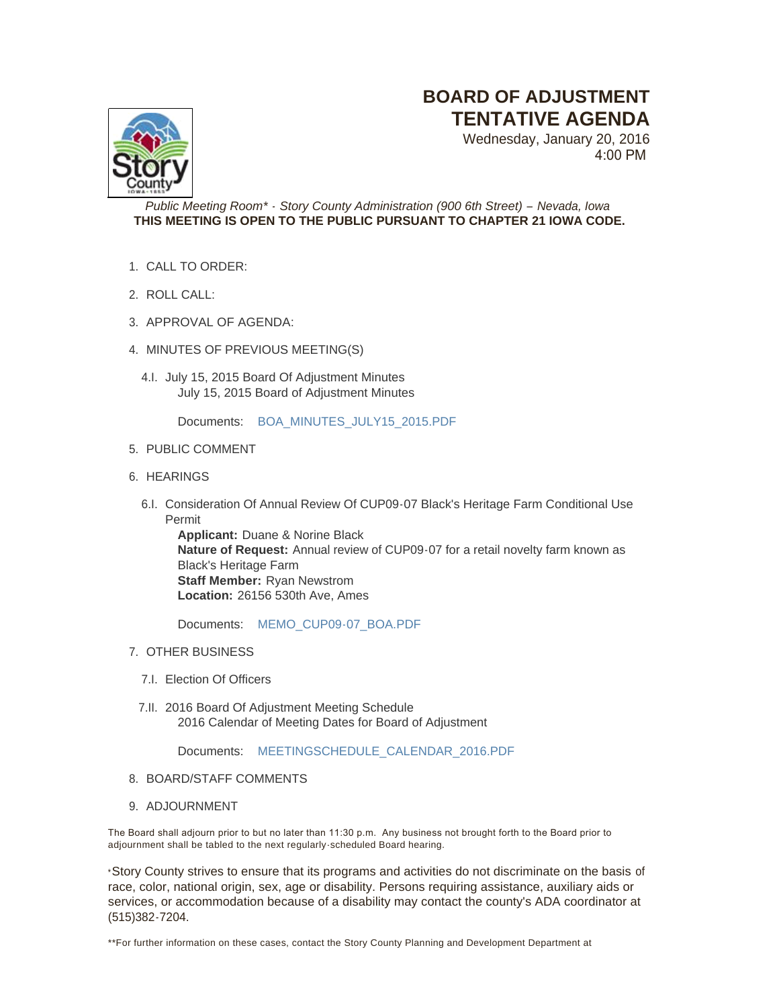## **BOARD OF ADJUSTMENT TENTATIVE AGENDA**

Wednesday, January 20, 2016 4:00 PM



*Public Meeting Room\* - Story County Administration (900 6th Street) – Nevada, Iowa* **THIS MEETING IS OPEN TO THE PUBLIC PURSUANT TO CHAPTER 21 IOWA CODE.**

- CALL TO ORDER: 1.
- ROLL CALL: 2.
- 3. APPROVAL OF AGENDA:
- 4. MINUTES OF PREVIOUS MEETING(S)
	- 4.I. July 15, 2015 Board Of Adjustment Minutes July 15, 2015 Board of Adjustment Minutes

Documents: [BOA\\_MINUTES\\_JULY15\\_2015.PDF](http://www.storycountyiowa.gov/AgendaCenter/ViewFile/Item/5990?fileID=4235)

- 5. PUBLIC COMMENT
- 6. HEARINGS
	- 6.I. Consideration Of Annual Review Of CUP09-07 Black's Heritage Farm Conditional Use Permit

**Applicant:** Duane & Norine Black **Nature of Request:** Annual review of CUP09-07 for a retail novelty farm known as Black's Heritage Farm **Staff Member:** Ryan Newstrom **Location:** 26156 530th Ave, Ames

Documents: [MEMO\\_CUP09-07\\_BOA.PDF](http://www.storycountyiowa.gov/AgendaCenter/ViewFile/Item/6147?fileID=4282)

- 7. OTHER BUSINESS
	- 7.I. Election Of Officers
	- 7.II. 2016 Board Of Adjustment Meeting Schedule 2016 Calendar of Meeting Dates for Board of Adjustment

Documents: [MEETINGSCHEDULE\\_CALENDAR\\_2016.PDF](http://www.storycountyiowa.gov/AgendaCenter/ViewFile/Item/5978?fileID=4229)

- 8. BOARD/STAFF COMMENTS
- 9. ADJOURNMENT

The Board shall adjourn prior to but no later than 11:30 p.m. Any business not brought forth to the Board prior to adjournment shall be tabled to the next regularly -scheduled Board hearing.

\*Story County strives to ensure that its programs and activities do not discriminate on the basis of race, color, national origin, sex, age or disability. Persons requiring assistance, auxiliary aids or services, or accommodation because of a disability may contact the county's ADA coordinator at (515)382-7204.

\*\*For further information on these cases, contact the Story County Planning and Development Department at